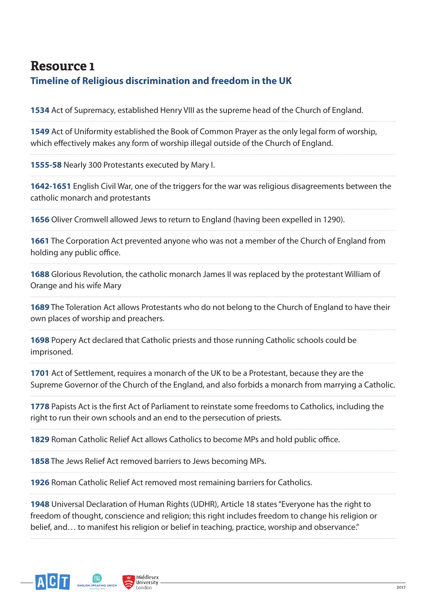## **Resource 1 Timeline of Religious discrimination and freedom in the UK**

**1534** Act of Supremacy, established Henry VIII as the supreme head of the Church of England.

**1549** Act of Uniformity established the Book of Common Prayer as the only legal form of worship, which efectively makes any form of worship illegal outside of the Church of England.

**1555-58** Nearly 300 Protestants executed by Mary I.

**1642-1651** English Civil War, one of the triggers for the war was religious disagreements between the catholic monarch and protestants

**1656** Oliver Cromwell allowed Jews to return to England (having been expelled in 1290).

**1661** The Corporation Act prevented anyone who was not a member of the Church of England from holding any public office.

**1688** Glorious Revolution, the catholic monarch James II was replaced by the protestant William of Orange and his wife Mary

**1689** The Toleration Act allows Protestants who do not belong to the Church of England to have their own places of worship and preachers.

**1698** Popery Act declared that Catholic priests and those running Catholic schools could be imprisoned.

**1701** Act of Settlement, requires a monarch of the UK to be a Protestant, because they are the Supreme Governor of the Church of the England, and also forbids a monarch from marrying a Catholic.

**1778** Papists Act is the frst Act of Parliament to reinstate some freedoms to Catholics, including the right to run their own schools and an end to the persecution of priests.

**1829** Roman Catholic Relief Act allows Catholics to become MPs and hold public office.

**1858** The Jews Relief Act removed barriers to Jews becoming MPs.

**1926** Roman Catholic Relief Act removed most remaining barriers for Catholics.

**1948** Universal Declaration of Human Rights (UDHR), Article 18 states "Everyone has the right to freedom of thought, conscience and religion; this right includes freedom to change his religion or belief, and… to manifest his religion or belief in teaching, practice, worship and observance."



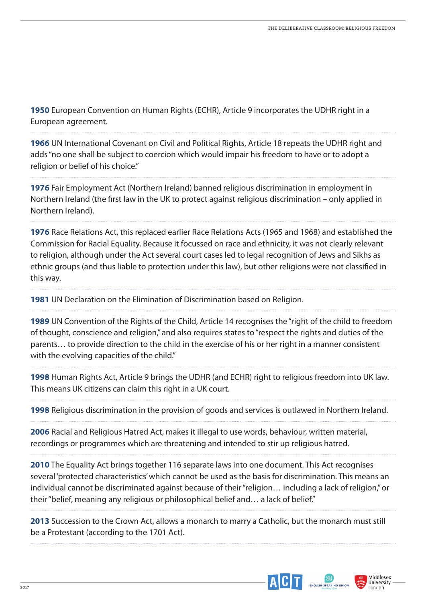**1950** European Convention on Human Rights (ECHR), Article 9 incorporates the UDHR right in a European agreement.

**1966** UN International Covenant on Civil and Political Rights, Article 18 repeats the UDHR right and adds "no one shall be subject to coercion which would impair his freedom to have or to adopt a religion or belief of his choice."

**1976** Fair Employment Act (Northern Ireland) banned religious discrimination in employment in Northern Ireland (the frst law in the UK to protect against religious discrimination – only applied in Northern Ireland).

**1976** Race Relations Act, this replaced earlier Race Relations Acts (1965 and 1968) and established the Commission for Racial Equality. Because it focussed on race and ethnicity, it was not clearly relevant to religion, although under the Act several court cases led to legal recognition of Jews and Sikhs as ethnic groups (and thus liable to protection under this law), but other religions were not classifed in this way.

**1981** UN Declaration on the Elimination of Discrimination based on Religion.

**1989** UN Convention of the Rights of the Child, Article 14 recognises the "right of the child to freedom of thought, conscience and religion," and also requires states to "respect the rights and duties of the parents… to provide direction to the child in the exercise of his or her right in a manner consistent with the evolving capacities of the child."

**1998** Human Rights Act, Article 9 brings the UDHR (and ECHR) right to religious freedom into UK law. This means UK citizens can claim this right in a UK court.

**1998** Religious discrimination in the provision of goods and services is outlawed in Northern Ireland.

**2006** Racial and Religious Hatred Act, makes it illegal to use words, behaviour, written material, recordings or programmes which are threatening and intended to stir up religious hatred.

**2010** The Equality Act brings together 116 separate laws into one document. This Act recognises several 'protected characteristics' which cannot be used as the basis for discrimination. This means an individual cannot be discriminated against because of their "religion… including a lack of religion," or their "belief, meaning any religious or philosophical belief and… a lack of belief."

**2013** Succession to the Crown Act, allows a monarch to marry a Catholic, but the monarch must still be a Protestant (according to the 1701 Act).



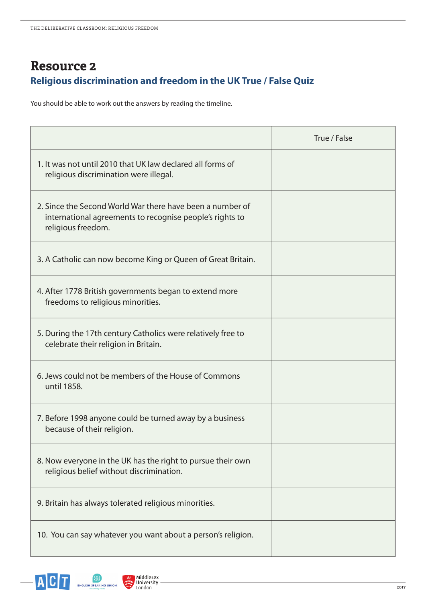## **Resource 2 Religious discrimination and freedom in the UK True / False Quiz**

You should be able to work out the answers by reading the timeline.

|                                                                                                                                             | True / False |
|---------------------------------------------------------------------------------------------------------------------------------------------|--------------|
| 1. It was not until 2010 that UK law declared all forms of<br>religious discrimination were illegal.                                        |              |
| 2. Since the Second World War there have been a number of<br>international agreements to recognise people's rights to<br>religious freedom. |              |
| 3. A Catholic can now become King or Queen of Great Britain.                                                                                |              |
| 4. After 1778 British governments began to extend more<br>freedoms to religious minorities.                                                 |              |
| 5. During the 17th century Catholics were relatively free to<br>celebrate their religion in Britain.                                        |              |
| 6. Jews could not be members of the House of Commons<br>until 1858.                                                                         |              |
| 7. Before 1998 anyone could be turned away by a business<br>because of their religion.                                                      |              |
| 8. Now everyone in the UK has the right to pursue their own<br>religious belief without discrimination.                                     |              |
| 9. Britain has always tolerated religious minorities.                                                                                       |              |
| 10. You can say whatever you want about a person's religion.                                                                                |              |



 $\overline{a}$ 

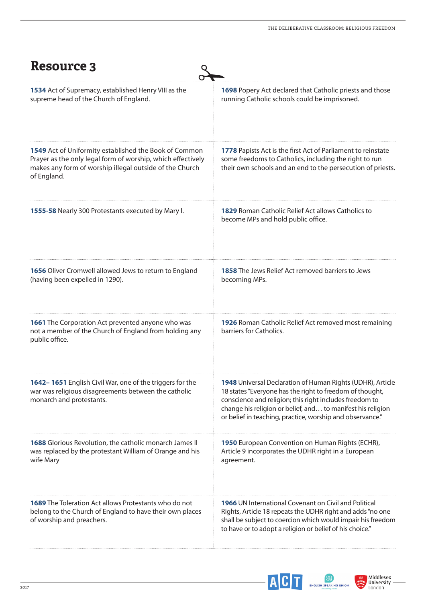| <b>Resource 3</b>                                                                                                                                                                              |                                                                                                                                                                                                                                                                                                               |
|------------------------------------------------------------------------------------------------------------------------------------------------------------------------------------------------|---------------------------------------------------------------------------------------------------------------------------------------------------------------------------------------------------------------------------------------------------------------------------------------------------------------|
| 1534 Act of Supremacy, established Henry VIII as the<br>supreme head of the Church of England.                                                                                                 | 1698 Popery Act declared that Catholic priests and those<br>running Catholic schools could be imprisoned.                                                                                                                                                                                                     |
| 1549 Act of Uniformity established the Book of Common<br>Prayer as the only legal form of worship, which effectively<br>makes any form of worship illegal outside of the Church<br>of England. | 1778 Papists Act is the first Act of Parliament to reinstate<br>some freedoms to Catholics, including the right to run<br>their own schools and an end to the persecution of priests.                                                                                                                         |
| 1555-58 Nearly 300 Protestants executed by Mary I.                                                                                                                                             | <b>1829</b> Roman Catholic Relief Act allows Catholics to<br>become MPs and hold public office.                                                                                                                                                                                                               |
| 1656 Oliver Cromwell allowed Jews to return to England<br>(having been expelled in 1290).                                                                                                      | <b>1858</b> The Jews Relief Act removed barriers to Jews<br>becoming MPs.                                                                                                                                                                                                                                     |
| 1661 The Corporation Act prevented anyone who was<br>not a member of the Church of England from holding any<br>public office.                                                                  | 1926 Roman Catholic Relief Act removed most remaining<br>barriers for Catholics.                                                                                                                                                                                                                              |
| 1642-1651 English Civil War, one of the triggers for the<br>war was religious disagreements between the catholic<br>monarch and protestants.                                                   | 1948 Universal Declaration of Human Rights (UDHR), Article<br>18 states "Everyone has the right to freedom of thought,<br>conscience and religion; this right includes freedom to<br>change his religion or belief, and to manifest his religion<br>or belief in teaching, practice, worship and observance." |
| <b>1688</b> Glorious Revolution, the catholic monarch James II<br>was replaced by the protestant William of Orange and his<br>wife Mary                                                        | <b>1950</b> European Convention on Human Rights (ECHR),<br>Article 9 incorporates the UDHR right in a European<br>agreement.                                                                                                                                                                                  |
| <b>1689</b> The Toleration Act allows Protestants who do not<br>belong to the Church of England to have their own places<br>of worship and preachers.                                          | <b>1966</b> UN International Covenant on Civil and Political<br>Rights, Article 18 repeats the UDHR right and adds "no one<br>shall be subject to coercion which would impair his freedom<br>to have or to adopt a religion or belief of his choice."                                                         |



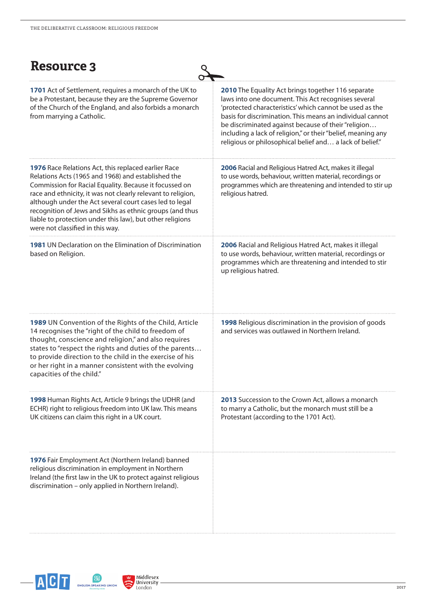| <b>Resource 3</b>                                                                                                                                                                                                                                                                                                                                                                                                                                           |                                                                                                                                                                                                                                                                                                                                                                                                                             |
|-------------------------------------------------------------------------------------------------------------------------------------------------------------------------------------------------------------------------------------------------------------------------------------------------------------------------------------------------------------------------------------------------------------------------------------------------------------|-----------------------------------------------------------------------------------------------------------------------------------------------------------------------------------------------------------------------------------------------------------------------------------------------------------------------------------------------------------------------------------------------------------------------------|
| <b>1701</b> Act of Settlement, requires a monarch of the UK to<br>be a Protestant, because they are the Supreme Governor<br>of the Church of the England, and also forbids a monarch<br>from marrying a Catholic.                                                                                                                                                                                                                                           | <b>2010</b> The Equality Act brings together 116 separate<br>laws into one document. This Act recognises several<br>'protected characteristics' which cannot be used as the<br>basis for discrimination. This means an individual cannot<br>be discriminated against because of their "religion<br>including a lack of religion," or their "belief, meaning any<br>religious or philosophical belief and a lack of belief." |
| 1976 Race Relations Act, this replaced earlier Race<br>Relations Acts (1965 and 1968) and established the<br>Commission for Racial Equality. Because it focussed on<br>race and ethnicity, it was not clearly relevant to religion,<br>although under the Act several court cases led to legal<br>recognition of Jews and Sikhs as ethnic groups (and thus<br>liable to protection under this law), but other religions<br>were not classified in this way. | 2006 Racial and Religious Hatred Act, makes it illegal<br>to use words, behaviour, written material, recordings or<br>programmes which are threatening and intended to stir up<br>religious hatred.                                                                                                                                                                                                                         |
| 1981 UN Declaration on the Elimination of Discrimination<br>based on Religion.                                                                                                                                                                                                                                                                                                                                                                              | 2006 Racial and Religious Hatred Act, makes it illegal<br>to use words, behaviour, written material, recordings or<br>programmes which are threatening and intended to stir<br>up religious hatred.                                                                                                                                                                                                                         |
| 1989 UN Convention of the Rights of the Child, Article<br>14 recognises the "right of the child to freedom of<br>thought, conscience and religion," and also requires<br>states to "respect the rights and duties of the parents<br>to provide direction to the child in the exercise of his<br>or her right in a manner consistent with the evolving<br>capacities of the child."                                                                          | 1998 Religious discrimination in the provision of goods<br>and services was outlawed in Northern Ireland.                                                                                                                                                                                                                                                                                                                   |
| <b>1998</b> Human Rights Act, Article 9 brings the UDHR (and<br>ECHR) right to religious freedom into UK law. This means<br>UK citizens can claim this right in a UK court.                                                                                                                                                                                                                                                                                 | <b>2013</b> Succession to the Crown Act, allows a monarch<br>to marry a Catholic, but the monarch must still be a<br>Protestant (according to the 1701 Act).                                                                                                                                                                                                                                                                |
| 1976 Fair Employment Act (Northern Ireland) banned<br>religious discrimination in employment in Northern<br>Ireland (the first law in the UK to protect against religious<br>discrimination – only applied in Northern Ireland).                                                                                                                                                                                                                            |                                                                                                                                                                                                                                                                                                                                                                                                                             |



 $\overline{a}$ 

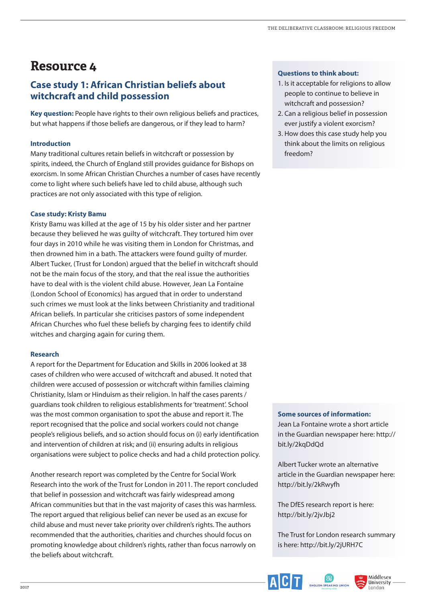## **Case study 1: African Christian beliefs about witchcraft and child possession**

**Key question:** People have rights to their own religious beliefs and practices, but what happens if those beliefs are dangerous, or if they lead to harm?

#### **Introduction**

Many traditional cultures retain beliefs in witchcraft or possession by spirits, indeed, the Church of England still provides guidance for Bishops on exorcism. In some African Christian Churches a number of cases have recently come to light where such beliefs have led to child abuse, although such practices are not only associated with this type of religion.

#### **Case study: Kristy Bamu**

Kristy Bamu was killed at the age of 15 by his older sister and her partner because they believed he was guilty of witchcraft. They tortured him over four days in 2010 while he was visiting them in London for Christmas, and then drowned him in a bath. The attackers were found guilty of murder. Albert Tucker, (Trust for London) argued that the belief in witchcraft should not be the main focus of the story, and that the real issue the authorities have to deal with is the violent child abuse. However, Jean La Fontaine (London School of Economics) has argued that in order to understand such crimes we must look at the links between Christianity and traditional African beliefs. In particular she criticises pastors of some independent African Churches who fuel these beliefs by charging fees to identify child witches and charging again for curing them.

#### **Research**

A report for the Department for Education and Skills in 2006 looked at 38 cases of children who were accused of witchcraft and abused. It noted that children were accused of possession or witchcraft within families claiming Christianity, Islam or Hinduism as their religion. In half the cases parents / guardians took children to religious establishments for 'treatment'. School was the most common organisation to spot the abuse and report it. The report recognised that the police and social workers could not change people's religious beliefs, and so action should focus on (i) early identifcation and intervention of children at risk; and (ii) ensuring adults in religious organisations were subject to police checks and had a child protection policy.

Another research report was completed by the Centre for Social Work Research into the work of the Trust for London in 2011. The report concluded that belief in possession and witchcraft was fairly widespread among African communities but that in the vast majority of cases this was harmless. The report argued that religious belief can never be used as an excuse for child abuse and must never take priority over children's rights. The authors recommended that the authorities, charities and churches should focus on promoting knowledge about children's rights, rather than focus narrowly on the beliefs about witchcraft.

#### **Questions to think about:**

- 1. Is it acceptable for religions to allow people to continue to believe in witchcraft and possession?
- 2. Can a religious belief in possession ever justify a violent exorcism?
- 3. How does this case study help you think about the limits on religious freedom?

#### **Some sources of information:**

Jean La Fontaine wrote a short article in the Guardian newspaper here: http:// bit.ly/2kaDdOd

Albert Tucker wrote an alternative article in the Guardian newspaper here: http://bit.ly/2kRwyfh

The DfES research report is here: http://bit.ly/2jvJbj2

The Trust for London research summary is here: http://bit.ly/2jURH7C



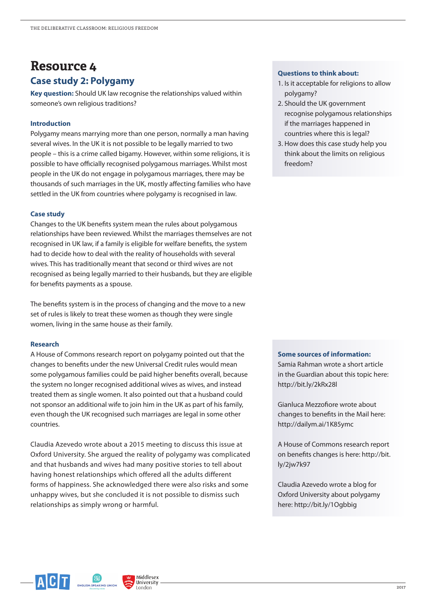## **Resource 4 Case study 2: Polygamy**

**Key question:** Should UK law recognise the relationships valued within someone's own religious traditions?

#### **Introduction**

Polygamy means marrying more than one person, normally a man having several wives. In the UK it is not possible to be legally married to two people – this is a crime called bigamy. However, within some religions, it is possible to have officially recognised polygamous marriages. Whilst most people in the UK do not engage in polygamous marriages, there may be thousands of such marriages in the UK, mostly afecting families who have settled in the UK from countries where polygamy is recognised in law.

#### **Case study**

Changes to the UK benefts system mean the rules about polygamous relationships have been reviewed. Whilst the marriages themselves are not recognised in UK law, if a family is eligible for welfare benefts, the system had to decide how to deal with the reality of households with several wives. This has traditionally meant that second or third wives are not recognised as being legally married to their husbands, but they are eligible for benefts payments as a spouse.

The benefts system is in the process of changing and the move to a new set of rules is likely to treat these women as though they were single women, living in the same house as their family.

#### **Research**

A House of Commons research report on polygamy pointed out that the changes to benefts under the new Universal Credit rules would mean some polygamous families could be paid higher benefts overall, because the system no longer recognised additional wives as wives, and instead treated them as single women. It also pointed out that a husband could not sponsor an additional wife to join him in the UK as part of his family, even though the UK recognised such marriages are legal in some other countries.

Claudia Azevedo wrote about a 2015 meeting to discuss this issue at Oxford University. She argued the reality of polygamy was complicated and that husbands and wives had many positive stories to tell about having honest relationships which offered all the adults different forms of happiness. She acknowledged there were also risks and some unhappy wives, but she concluded it is not possible to dismiss such relationships as simply wrong or harmful.

> Middlesex University Tondon

#### **Questions to think about:**

- 1. Is it acceptable for religions to allow polygamy?
- 2. Should the UK government recognise polygamous relationships if the marriages happened in countries where this is legal?
- 3. How does this case study help you think about the limits on religious freedom?

#### **Some sources of information:**

Samia Rahman wrote a short article in the Guardian about this topic here: http://bit.ly/2kRx28l

Gianluca Mezzofore wrote about changes to benefts in the Mail here: http://dailym.ai/1K85ymc

A House of Commons research report on benefts changes is here: http://bit. ly/2jw7k97

Claudia Azevedo wrote a blog for Oxford University about polygamy here: http://bit.ly/1Ogbbig

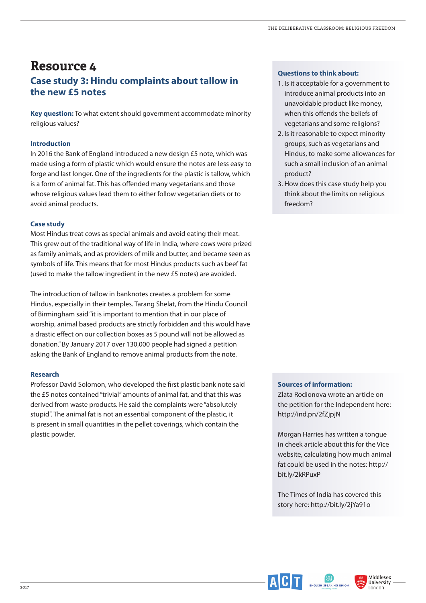## **Resource 4 Case study 3: Hindu complaints about tallow in the new £5 notes**

**Key question:** To what extent should government accommodate minority religious values?

#### **Introduction**

In 2016 the Bank of England introduced a new design £5 note, which was made using a form of plastic which would ensure the notes are less easy to forge and last longer. One of the ingredients for the plastic is tallow, which is a form of animal fat. This has offended many vegetarians and those whose religious values lead them to either follow vegetarian diets or to avoid animal products.

#### **Case study**

Most Hindus treat cows as special animals and avoid eating their meat. This grew out of the traditional way of life in India, where cows were prized as family animals, and as providers of milk and butter, and became seen as symbols of life. This means that for most Hindus products such as beef fat (used to make the tallow ingredient in the new £5 notes) are avoided.

The introduction of tallow in banknotes creates a problem for some Hindus, especially in their temples. Tarang Shelat, from the Hindu Council of Birmingham said "it is important to mention that in our place of worship, animal based products are strictly forbidden and this would have a drastic efect on our collection boxes as 5 pound will not be allowed as donation." By January 2017 over 130,000 people had signed a petition asking the Bank of England to remove animal products from the note.

#### **Research**

Professor David Solomon, who developed the frst plastic bank note said the £5 notes contained "trivial" amounts of animal fat, and that this was derived from waste products. He said the complaints were "absolutely stupid". The animal fat is not an essential component of the plastic, it is present in small quantities in the pellet coverings, which contain the plastic powder.

#### **Questions to think about:**

- 1. Is it acceptable for a government to introduce animal products into an unavoidable product like money, when this offends the beliefs of vegetarians and some religions?
- 2. Is it reasonable to expect minority groups, such as vegetarians and Hindus, to make some allowances for such a small inclusion of an animal product?
- 3. How does this case study help you think about the limits on religious freedom?

#### **Sources of information:**

Zlata Rodionova wrote an article on the petition for the Independent here: http://ind.pn/2fZjpjN

Morgan Harries has written a tongue in cheek article about this for the Vice website, calculating how much animal fat could be used in the notes: http:// bit.ly/2kRPuxP

The Times of India has covered this story here: http://bit.ly/2jYa91o



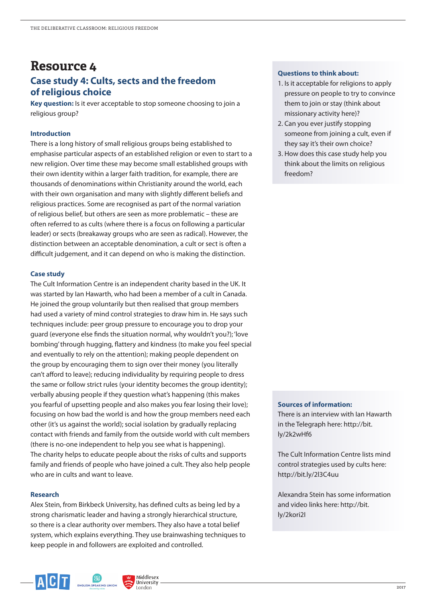## **Resource 4 Case study 4: Cults, sects and the freedom of religious choice**

**Key question:** Is it ever acceptable to stop someone choosing to join a religious group?

#### **Introduction**

There is a long history of small religious groups being established to emphasise particular aspects of an established religion or even to start to a new religion. Over time these may become small established groups with their own identity within a larger faith tradition, for example, there are thousands of denominations within Christianity around the world, each with their own organisation and many with slightly diferent beliefs and religious practices. Some are recognised as part of the normal variation of religious belief, but others are seen as more problematic – these are often referred to as cults (where there is a focus on following a particular leader) or sects (breakaway groups who are seen as radical). However, the distinction between an acceptable denomination, a cult or sect is often a difficult judgement, and it can depend on who is making the distinction.

#### **Case study**

The Cult Information Centre is an independent charity based in the UK. It was started by Ian Hawarth, who had been a member of a cult in Canada. He joined the group voluntarily but then realised that group members had used a variety of mind control strategies to draw him in. He says such techniques include: peer group pressure to encourage you to drop your guard (everyone else fnds the situation normal, why wouldn't you?); 'love bombing' through hugging, fattery and kindness (to make you feel special and eventually to rely on the attention); making people dependent on the group by encouraging them to sign over their money (you literally can't afford to leave); reducing individuality by requiring people to dress the same or follow strict rules (your identity becomes the group identity); verbally abusing people if they question what's happening (this makes you fearful of upsetting people and also makes you fear losing their love); focusing on how bad the world is and how the group members need each other (it's us against the world); social isolation by gradually replacing contact with friends and family from the outside world with cult members (there is no-one independent to help you see what is happening). The charity helps to educate people about the risks of cults and supports family and friends of people who have joined a cult. They also help people who are in cults and want to leave.

#### **Research**

Alex Stein, from Birkbeck University, has defned cults as being led by a strong charismatic leader and having a strongly hierarchical structure, so there is a clear authority over members. They also have a total belief system, which explains everything. They use brainwashing techniques to keep people in and followers are exploited and controlled.

> Middlesex University London

#### **Questions to think about:**

- 1. Is it acceptable for religions to apply pressure on people to try to convince them to join or stay (think about missionary activity here)?
- 2. Can you ever justify stopping someone from joining a cult, even if they say it's their own choice?
- 3. How does this case study help you think about the limits on religious freedom?

#### **Sources of information:**

There is an interview with Ian Hawarth in the Telegraph here: http://bit. ly/2k2wHf6

The Cult Information Centre lists mind control strategies used by cults here: http://bit.ly/2l3C4uu

Alexandra Stein has some information and video links here: http://bit. ly/2kori2I

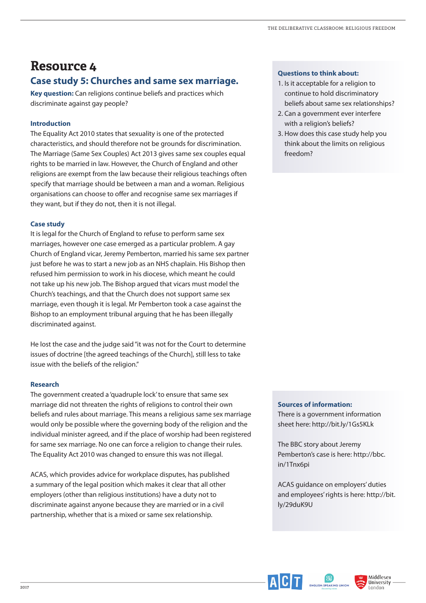## **Resource 4 Case study 5: Churches and same sex marriage.**

**Key question:** Can religions continue beliefs and practices which discriminate against gay people?

#### **Introduction**

The Equality Act 2010 states that sexuality is one of the protected characteristics, and should therefore not be grounds for discrimination. The Marriage (Same Sex Couples) Act 2013 gives same sex couples equal rights to be married in law. However, the Church of England and other religions are exempt from the law because their religious teachings often specify that marriage should be between a man and a woman. Religious organisations can choose to offer and recognise same sex marriages if they want, but if they do not, then it is not illegal.

#### **Case study**

It is legal for the Church of England to refuse to perform same sex marriages, however one case emerged as a particular problem. A gay Church of England vicar, Jeremy Pemberton, married his same sex partner just before he was to start a new job as an NHS chaplain. His Bishop then refused him permission to work in his diocese, which meant he could not take up his new job. The Bishop argued that vicars must model the Church's teachings, and that the Church does not support same sex marriage, even though it is legal. Mr Pemberton took a case against the Bishop to an employment tribunal arguing that he has been illegally discriminated against.

He lost the case and the judge said "it was not for the Court to determine issues of doctrine [the agreed teachings of the Church], still less to take issue with the beliefs of the religion."

#### **Research**

The government created a 'quadruple lock' to ensure that same sex marriage did not threaten the rights of religions to control their own beliefs and rules about marriage. This means a religious same sex marriage would only be possible where the governing body of the religion and the individual minister agreed, and if the place of worship had been registered for same sex marriage. No one can force a religion to change their rules. The Equality Act 2010 was changed to ensure this was not illegal.

ACAS, which provides advice for workplace disputes, has published a summary of the legal position which makes it clear that all other employers (other than religious institutions) have a duty not to discriminate against anyone because they are married or in a civil partnership, whether that is a mixed or same sex relationship.

#### **Questions to think about:**

- 1. Is it acceptable for a religion to continue to hold discriminatory beliefs about same sex relationships?
- 2. Can a government ever interfere with a religion's beliefs?
- 3. How does this case study help you think about the limits on religious freedom?

#### **Sources of information:**

There is a government information sheet here: http://bit.ly/1Gs5KLk

The BBC story about Jeremy Pemberton's case is here: http://bbc. in/1Tnx6pi

ACAS guidance on employers' duties and employees' rights is here: http://bit. ly/29duK9U



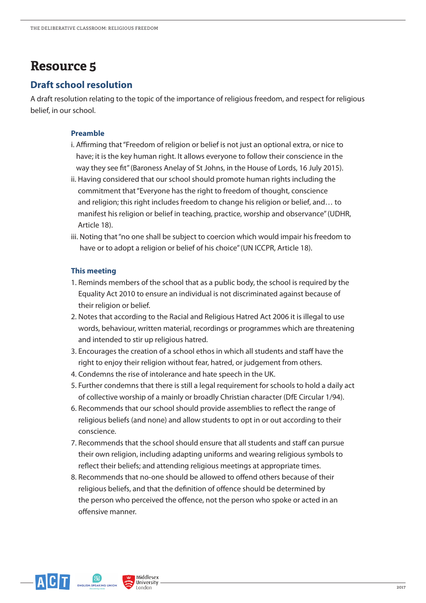### **Draft school resolution**

A draft resolution relating to the topic of the importance of religious freedom, and respect for religious belief, in our school.

#### **Preamble**

- i. Afrming that "Freedom of religion or belief is not just an optional extra, or nice to have; it is the key human right. It allows everyone to follow their conscience in the way they see ft" (Baroness Anelay of St Johns, in the House of Lords, 16 July 2015).
- ii. Having considered that our school should promote human rights including the commitment that "Everyone has the right to freedom of thought, conscience and religion; this right includes freedom to change his religion or belief, and… to manifest his religion or belief in teaching, practice, worship and observance" (UDHR, Article 18).
- iii. Noting that "no one shall be subject to coercion which would impair his freedom to have or to adopt a religion or belief of his choice" (UN ICCPR, Article 18).

#### **This meeting**

- 1. Reminds members of the school that as a public body, the school is required by the Equality Act 2010 to ensure an individual is not discriminated against because of their religion or belief.
- 2. Notes that according to the Racial and Religious Hatred Act 2006 it is illegal to use words, behaviour, written material, recordings or programmes which are threatening and intended to stir up religious hatred.
- 3. Encourages the creation of a school ethos in which all students and staff have the right to enjoy their religion without fear, hatred, or judgement from others.
- 4. Condemns the rise of intolerance and hate speech in the UK.
- 5. Further condemns that there is still a legal requirement for schools to hold a daily act of collective worship of a mainly or broadly Christian character (DfE Circular 1/94).
- 6. Recommends that our school should provide assemblies to refect the range of religious beliefs (and none) and allow students to opt in or out according to their conscience.
- 7. Recommends that the school should ensure that all students and staff can pursue their own religion, including adapting uniforms and wearing religious symbols to refect their beliefs; and attending religious meetings at appropriate times.
- 8. Recommends that no-one should be allowed to offend others because of their religious beliefs, and that the defnition of ofence should be determined by the person who perceived the offence, not the person who spoke or acted in an ofensive manner.



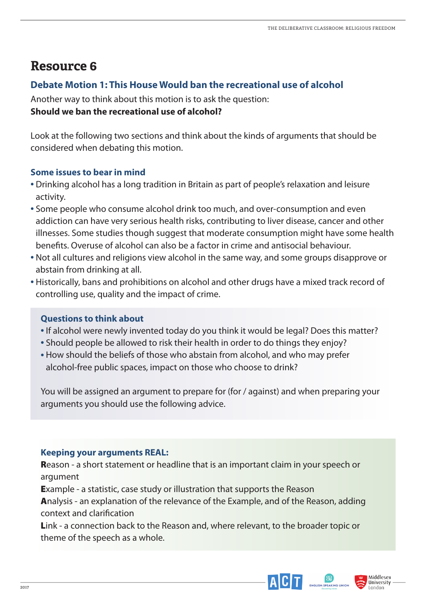## **Debate Motion 1: This House Would ban the recreational use of alcohol**

Another way to think about this motion is to ask the question: **Should we ban the recreational use of alcohol?**

Look at the following two sections and think about the kinds of arguments that should be considered when debating this motion.

## **Some issues to bear in mind**

- Drinking alcohol has a long tradition in Britain as part of people's relaxation and leisure activity.
- Some people who consume alcohol drink too much, and over-consumption and even addiction can have very serious health risks, contributing to liver disease, cancer and other illnesses. Some studies though suggest that moderate consumption might have some health benefts. Overuse of alcohol can also be a factor in crime and antisocial behaviour.
- Not all cultures and religions view alcohol in the same way, and some groups disapprove or abstain from drinking at all.
- Historically, bans and prohibitions on alcohol and other drugs have a mixed track record of controlling use, quality and the impact of crime.

## **Questions to think about**

- If alcohol were newly invented today do you think it would be legal? Does this matter?
- Should people be allowed to risk their health in order to do things they enjoy?
- How should the beliefs of those who abstain from alcohol, and who may prefer alcohol-free public spaces, impact on those who choose to drink?

You will be assigned an argument to prepare for (for / against) and when preparing your arguments you should use the following advice.

## **Keeping your arguments REAL:**

Reason - a short statement or headline that is an important claim in your speech or argument

Example - a statistic, case study or illustration that supports the Reason

Analysis - an explanation of the relevance of the Example, and of the Reason, adding context and clarifcation

Link - a connection back to the Reason and, where relevant, to the broader topic or theme of the speech as a whole.



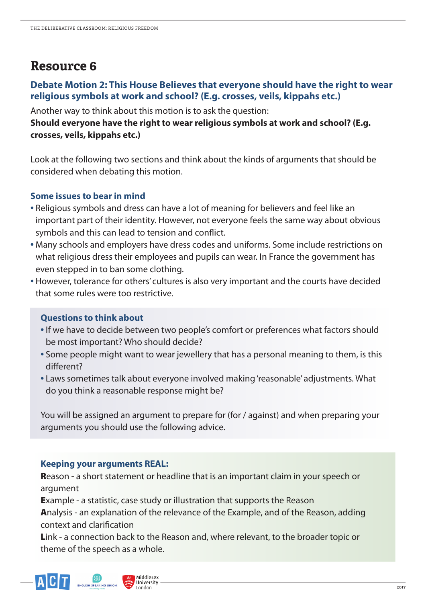## **Debate Motion 2: This House Believes that everyone should have the right to wear religious symbols at work and school? (E.g. crosses, veils, kippahs etc.)**

Another way to think about this motion is to ask the question:

## **Should everyone have the right to wear religious symbols at work and school? (E.g. crosses, veils, kippahs etc.)**

Look at the following two sections and think about the kinds of arguments that should be considered when debating this motion.

## **Some issues to bear in mind**

- Religious symbols and dress can have a lot of meaning for believers and feel like an important part of their identity. However, not everyone feels the same way about obvious symbols and this can lead to tension and confict.
- Many schools and employers have dress codes and uniforms. Some include restrictions on what religious dress their employees and pupils can wear. In France the government has even stepped in to ban some clothing.
- However, tolerance for others' cultures is also very important and the courts have decided that some rules were too restrictive.

## **Questions to think about**

- If we have to decide between two people's comfort or preferences what factors should be most important? Who should decide?
- Some people might want to wear jewellery that has a personal meaning to them, is this diferent?
- Laws sometimes talk about everyone involved making 'reasonable' adjustments. What do you think a reasonable response might be?

You will be assigned an argument to prepare for (for / against) and when preparing your arguments you should use the following advice.

## **Keeping your arguments REAL:**

Reason - a short statement or headline that is an important claim in your speech or argument

Example - a statistic, case study or illustration that supports the Reason

Analysis - an explanation of the relevance of the Example, and of the Reason, adding context and clarifcation

Link - a connection back to the Reason and, where relevant, to the broader topic or theme of the speech as a whole.



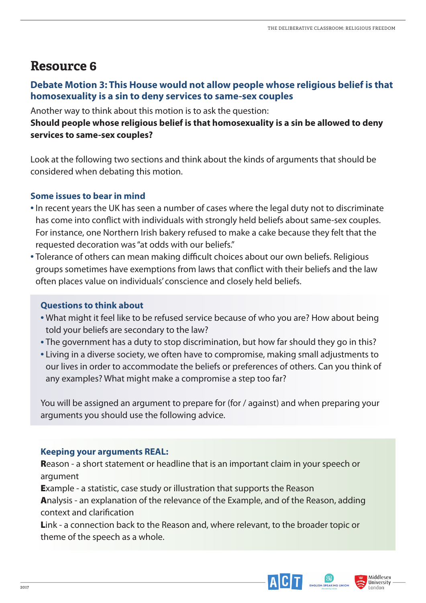## **Debate Motion 3: This House would not allow people whose religious belief is that homosexuality is a sin to deny services to same-sex couples**

Another way to think about this motion is to ask the question:

## **Should people whose religious belief is that homosexuality is a sin be allowed to deny services to same-sex couples?**

Look at the following two sections and think about the kinds of arguments that should be considered when debating this motion.

## **Some issues to bear in mind**

- In recent years the UK has seen a number of cases where the legal duty not to discriminate has come into confict with individuals with strongly held beliefs about same-sex couples. For instance, one Northern Irish bakery refused to make a cake because they felt that the requested decoration was "at odds with our beliefs."
- Tolerance of others can mean making difficult choices about our own beliefs. Religious groups sometimes have exemptions from laws that confict with their beliefs and the law often places value on individuals' conscience and closely held beliefs.

## **Questions to think about**

- What might it feel like to be refused service because of who you are? How about being told your beliefs are secondary to the law?
- The government has a duty to stop discrimination, but how far should they go in this?
- Living in a diverse society, we often have to compromise, making small adjustments to our lives in order to accommodate the beliefs or preferences of others. Can you think of any examples? What might make a compromise a step too far?

You will be assigned an argument to prepare for (for / against) and when preparing your arguments you should use the following advice.

## **Keeping your arguments REAL:**

**Reason - a short statement or headline that is an important claim in your speech or** argument

Example - a statistic, case study or illustration that supports the Reason

Analysis - an explanation of the relevance of the Example, and of the Reason, adding context and clarifcation

Link - a connection back to the Reason and, where relevant, to the broader topic or theme of the speech as a whole.



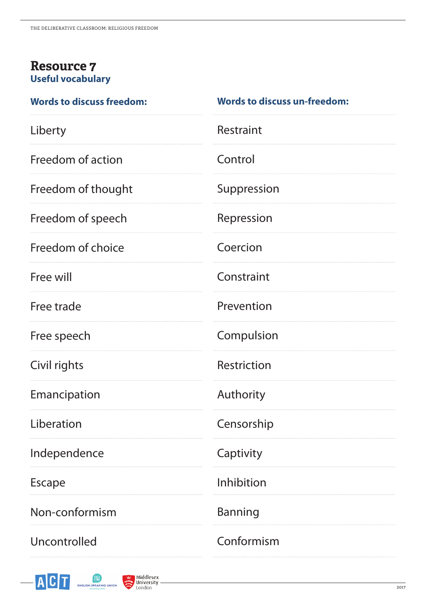## **Resource 7 Useful vocabulary**

| <b>Words to discuss freedom:</b> | <b>Words to discuss un-freedom:</b> |
|----------------------------------|-------------------------------------|
| Liberty                          | Restraint                           |
| Freedom of action                | Control                             |
| Freedom of thought               | Suppression                         |
| Freedom of speech                | Repression                          |
| Freedom of choice                | Coercion                            |
| Free will                        | Constraint                          |
| Free trade                       | Prevention                          |
| Free speech                      | Compulsion                          |
| Civil rights                     | Restriction                         |
| Emancipation                     | Authority                           |
| Liberation                       | Censorship                          |
| Independence                     | Captivity                           |
| <b>Escape</b>                    | Inhibition                          |
| Non-conformism                   | <b>Banning</b>                      |
| Uncontrolled                     | Conformism                          |



 $\overline{a}$ 

ENGLISH-SPEAKING UNION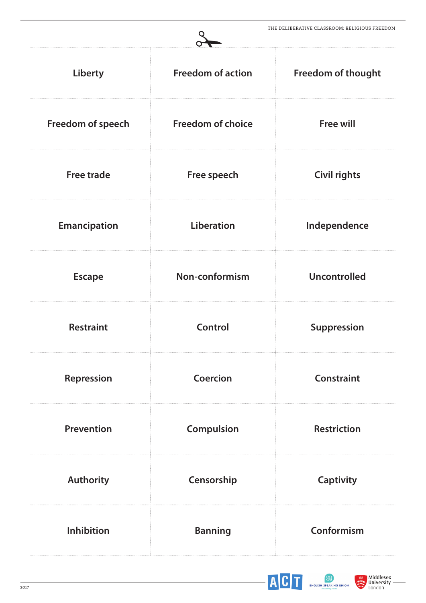|                     |                          | <u>I HE DELIBERAITVE CLASSROOM. RELIGIOUS FREEDOM</u> |
|---------------------|--------------------------|-------------------------------------------------------|
| Liberty             | <b>Freedom of action</b> | <b>Freedom of thought</b>                             |
| Freedom of speech   | <b>Freedom of choice</b> | <b>Free will</b>                                      |
| <b>Free trade</b>   | Free speech              | <b>Civil rights</b>                                   |
| <b>Emancipation</b> | <b>Liberation</b>        | Independence                                          |
| <b>Escape</b>       | Non-conformism           | <b>Uncontrolled</b>                                   |
| <b>Restraint</b>    | <b>Control</b>           | <b>Suppression</b>                                    |
| Repression          | Coercion                 | <b>Constraint</b>                                     |
| <b>Prevention</b>   | Compulsion               | <b>Restriction</b>                                    |
| <b>Authority</b>    | Censorship               | <b>Captivity</b>                                      |
| Inhibition          | <b>Banning</b>           | Conformism                                            |



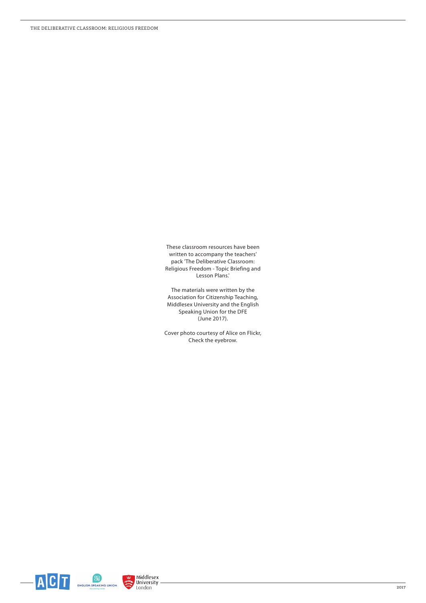These classroom resources have been written to accompany the teachers' pack 'The Deliberative Classroom: Religious Freedom - Topic Briefing and Lesson Plans.'

The materials were written by the Association for Citizenship Teaching, Middlesex University and the English Speaking Union for the DFE (June 2017).

Cover photo courtesy of Alice on Flickr, Check the eyebrow.